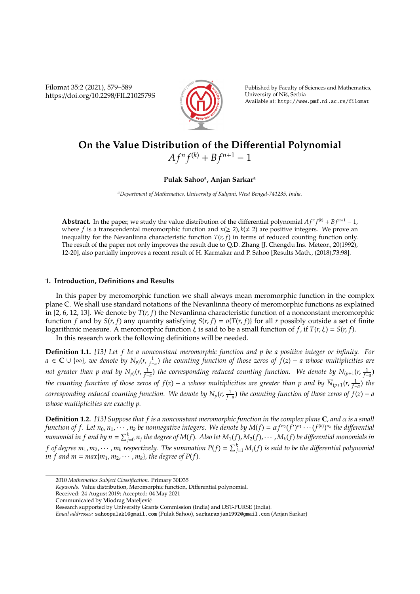Filomat 35:2 (2021), 579–589 https://doi.org/10.2298/FIL2102579S



Published by Faculty of Sciences and Mathematics, University of Niš, Serbia Available at: http://www.pmf.ni.ac.rs/filomat

# **On the Value Distribution of the Di**ff**erential Polynomial**  $A f^n f^{(k)} + B f^{n+1} - 1$

# **Pulak Sahoo<sup>a</sup> , Anjan Sarkar<sup>a</sup>**

*<sup>a</sup>Department of Mathematics, University of Kalyani, West Bengal-741235, India.*

**Abstract.** In the paper, we study the value distribution of the differential polynomial  $Af^n f^{(k)} + Bf^{n+1} - 1$ , where *f* is a transcendental meromorphic function and  $n(\geq 2)$ ,  $k(\neq 2)$  are positive integers. We prove an inequality for the Nevanlinna characteristic function  $T(r, f)$  in terms of reduced counting function only. The result of the paper not only improves the result due to Q.D. Zhang [J. Chengdu Ins. Meteor., 20(1992), 12-20], also partially improves a recent result of H. Karmakar and P. Sahoo [Results Math., (2018),73:98].

## **1. Introduction, Definitions and Results**

In this paper by meromorphic function we shall always mean meromorphic function in the complex plane C. We shall use standard notations of the Nevanlinna theory of meromorphic functions as explained in [2, 6, 12, 13]. We denote by  $T(r, f)$  the Nevanlinna characteristic function of a nonconstant meromorphic function *f* and by *S*(*r*, *f*) any quantity satisfying *S*(*r*, *f*) =  $o\{T(r, f)\}$  for all *r* possibly outside a set of finite logarithmic measure. A meromorphic function ξ is said to be a small function of *f*, if *T*(*r*, ξ) = *S*(*r*, *f*).

In this research work the following definitions will be needed.

**Definition 1.1.** *[13] Let f be a nonconstant meromorphic function and p be a positive integer or infinity. For a* ∈ C ∪ {∞}*, we denote by Np*)(*r*, 1 *f*−*a* ) *the counting function of those zeros of f*(*z*) − *a whose multiplicities are* not greater than p and by  $\overline{N}_{p}(r,\frac{1}{f-a})$  the corresponding reduced counting function. We denote by  $N_{(p+1}(r,\frac{1}{f-a})$ *the counting function of those zeros of f(z) − a whose multiplicities are greater than p and by*  $\overline{N}_{(p+1}(r,\frac{1}{f-a})$  *the corresponding reduced counting function.* We denote by  $N_p(r, \frac{1}{f-a})$  the counting function of those zeros of  $f(z) - a$ *whose multiplicities are exactly p.*

**Definition 1.2.** *[13] Suppose that f is a nonconstant meromorphic function in the complex plane* C*, and* α *is a small* function of f. Let  $n_0,n_1,\cdots,n_k$  be nonnegative integers. We denote by  $M(f)=\alpha f^{n_0}(f')^{n_1}\cdots(f^{(k)})^{n_k}$  the differential monomial in  $f$  and by  $n=\sum_{j=0}^kn_j$  the degree of M(f). Also let  $M_1(f)$ ,  $M_2(f)$ ,  $\cdots$  ,  $M_k(f)$  be differential monomials in *f of degree m*<sub>1</sub>, m<sub>2</sub>,  $\cdots$  , m<sub>k</sub> respectively. The summation P(f) =  $\sum_{j=1}^k M_j(f)$  is said to be the differential polynomial *in f and m = max* $\{m_1, m_2, \cdots, m_k\}$ , the degree of P(*f*).

<sup>2010</sup> *Mathematics Subject Classification*. Primary 30D35

*Keywords*. Value distribution, Meromorphic function, Differential polynomial.

Received: 24 August 2019; Accepted: 04 May 2021

Communicated by Miodrag Mateljevic´

Research supported by University Grants Commission (India) and DST-PURSE (India).

*Email addresses:* sahoopulak1@gmail.com (Pulak Sahoo), sarkaranjan1992@gmail.com (Anjan Sarkar)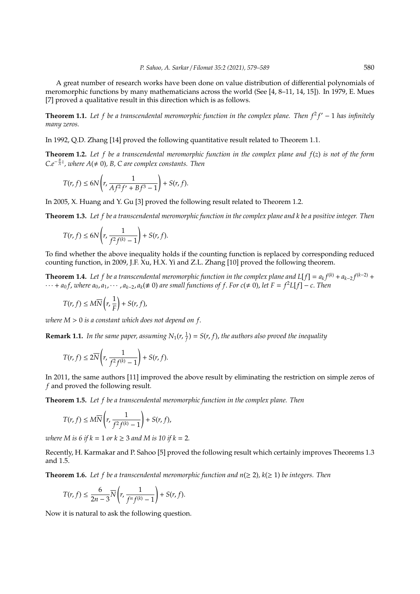A great number of research works have been done on value distribution of differential polynomials of meromorphic functions by many mathematicians across the world (See [4, 8–11, 14, 15]). In 1979, E. Mues [7] proved a qualitative result in this direction which is as follows.

**Theorem 1.1.** Let f be a transcendental meromorphic function in the complex plane. Then  $f^2f' - 1$  has infinitely *many zeros.*

In 1992, Q.D. Zhang [14] proved the following quantitative result related to Theorem 1.1.

**Theorem 1.2.** *Let f be a transcendental meromorphic function in the complex plane and f*(*z*) *is not of the form*  $Ce^{-\frac{B}{A}z}$ , where  $A(\neq 0)$ , B, C are complex constants. Then

$$
T(r, f) \le 6N\left(r, \frac{1}{Af^2f' + Bf^3 - 1}\right) + S(r, f).
$$

In 2005, X. Huang and Y. Gu [3] proved the following result related to Theorem 1.2.

**Theorem 1.3.** *Let f be a transcendental meromorphic function in the complex plane and k be a positive integer. Then*

$$
T(r, f) \leq 6N\left(r, \frac{1}{f^2f^{(k)}-1}\right)+S(r, f).
$$

To find whether the above inequality holds if the counting function is replaced by corresponding reduced counting function, in 2009, J.F. Xu, H.X. Yi and Z.L. Zhang [10] proved the following theorem.

**Theorem 1.4.** Let f be a transcendental meromorphic function in the complex plane and L[f] =  $a_k f^{(k)} + a_{k-2} f^{(k-2)} +$  $\cdots$  +  $a_0f$ , where  $a_0, a_1, \cdots, a_{k-2}, a_k (\neq 0)$  are small functions of f. For  $c(\neq 0)$ , let  $F = f^2L[f] - c$ . Then

$$
T(r, f) \leq M\overline{N}\left(r, \frac{1}{F}\right) + S(r, f),
$$

*where M* > 0 *is a constant which does not depend on f*.

**Remark 1.1.** In the same paper, assuming  $N_1(r, \frac{1}{f}) = S(r, f)$ , the authors also proved the inequality

$$
T(r, f) \leq 2\overline{N}\left(r, \frac{1}{f^2f^{(k)}-1}\right) + S(r, f).
$$

In 2011, the same authors [11] improved the above result by eliminating the restriction on simple zeros of *f* and proved the following result.

**Theorem 1.5.** *Let f be a transcendental meromorphic function in the complex plane. Then*

$$
T(r, f) \leq M\overline{N}\left(r, \frac{1}{f^2f^{(k)}-1}\right) + S(r, f),
$$

*where M* is 6 if  $k = 1$  *or*  $k \ge 3$  *and M* is 10 if  $k = 2$ *.* 

Recently, H. Karmakar and P. Sahoo [5] proved the following result which certainly improves Theorems 1.3 and 1.5.

**Theorem 1.6.** Let f be a transcendental meromorphic function and  $n(\geq 2)$ ,  $k(\geq 1)$  be integers. Then

$$
T(r, f) \leq \frac{6}{2n-3}\overline{N}\left(r, \frac{1}{f^{n}f^{(k)}-1}\right) + S(r, f).
$$

Now it is natural to ask the following question.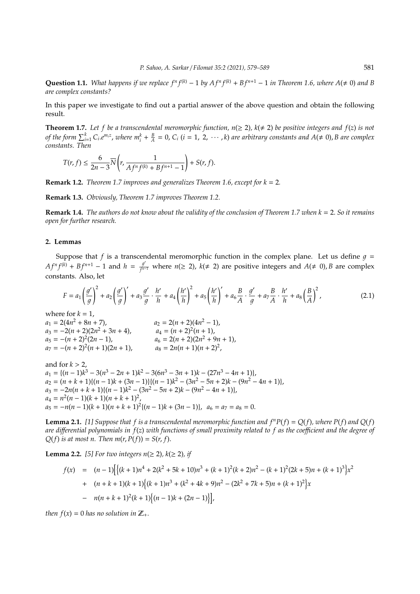**Question 1.1.** What happens if we replace  $f^n f^{(k)} - 1$  by  $Af^n f^{(k)} + Bf^{n+1} - 1$  in Theorem 1.6, where  $A(\neq 0)$  and B *are complex constants?*

In this paper we investigate to find out a partial answer of the above question and obtain the following result.

**Theorem 1.7.** Let f be a transcendental meromorphic function,  $n(\geq 2)$ ,  $k(\neq 2)$  be positive integers and  $f(z)$  is not of the form  $\sum_{i=1}^k C_i.e^{m_iz}$ , where  $m_i^k+\frac{B}{A}=0$ ,  $C_i$   $(i=1, 2, \cdots, k)$  are arbitrary constants and  $A(\neq 0)$ , B are complex *constants. Then*

$$
T(r, f) \le \frac{6}{2n-3} \overline{N} \left( r, \frac{1}{A f^n f^{(k)} + B f^{n+1} - 1} \right) + S(r, f).
$$

**Remark 1.2.** *Theorem 1.7 improves and generalizes Theorem 1.6, except for k* = 2*.*

**Remark 1.3.** *Obviously, Theorem 1.7 improves Theorem 1.2.*

**Remark 1.4.** *The authors do not know about the validity of the conclusion of Theorem 1.7 when k* = 2. *So it remains open for further research.*

#### **2. Lemmas**

Suppose that *f* is a transcendental meromorphic function in the complex plane. Let us define  $q =$  $A f^{n} f^{(k)} + B f^{n+1} - 1$  and  $h = \frac{g^{(k)}}{f^{n-k}}$ *f*<sup>*n*−1</sup> where *n*(≥ 2), *k*(≠ 2) are positive integers and *A*(≠ 0), *B* are complex constants. Also, let

$$
F = a_1 \left(\frac{g'}{g}\right)^2 + a_2 \left(\frac{g'}{g}\right)' + a_3 \frac{g'}{g} \cdot \frac{h'}{h} + a_4 \left(\frac{h'}{h}\right)^2 + a_5 \left(\frac{h'}{h}\right)' + a_6 \frac{B}{A} \cdot \frac{g'}{g} + a_7 \frac{B}{A} \cdot \frac{h'}{h} + a_8 \left(\frac{B}{A}\right)^2,
$$
\n(2.1)

where for  $k = 1$ ,  $a_1 = 2(4n^2 + 8n + 7)$ ,  $a_2 = 2(n+2)(4n^2 - 1),$ <br> $a_2 = 2(n+2)(4n^2 - 1),$  $a_3 = -2(n+2)(2n^2+3n+4)$ ,  $a_4 = (n+2)^2(n+1)$ ,  $a_5 = -(n+2)^2(2n-1)$ ,  $a_6 = 2(n+2)(2n^2 + 9n + 1),$ <br>*a*<sub>6</sub> = 2(*n* + 2)(2*n*<sup>2</sup> + 9*n* + 1),  $a_7 = -(n+2)^2(n+1)(2n+1)$  $(n+1)(2n+1)$ ,  $a_8 = 2n(n+1)(n+2)^2$ ,

and for  $k > 2$ ,  $a_1 = \{(n-1)k^3 - 3(n^3 - 2n + 1)k^2 - 3(6n^3 - 3n + 1)k - (27n^3 - 4n + 1)\},\$  $a_2 = (n + k + 1)\{(n - 1)k + (3n - 1)\}\{(n - 1)k^2 - (3n^2 - 5n + 2)k - (9n^2 - 4n + 1)\},\$  $a_3 = -2n(n+k+1)\{(n-1)k^2 - (3n^2 - 5n + 2)k - (9n^2 - 4n + 1)\},\$  $a_4 = n^2(n-1)(k+1)(n+k+1)^2$  $a_5 = -n(n-1)(k+1)(n+k+1)^2\{(n-1)k + (3n-1)\}, \ \ a_6 = a_7 = a_8 = 0.$ 

**Lemma 2.1.** [1] Suppose that f is a transcendental meromorphic function and  $f^nP(f) = Q(f)$ , where  $P(f)$  and  $Q(f)$ *are di*ff*erential polynomials in f*(*z*) *with functions of small proximity related to f as the coe*ffi*cient and the degree of*  $Q(f)$  *is at most n.* Then  $m(r, P(f)) = S(r, f)$ .

**Lemma 2.2.** [5] For two integers  $n(\geq 2)$ ,  $k(\geq 2)$ , if

$$
f(x) = (n-1) \Big[ \Big( (k+1)n^4 + 2(k^2 + 5k + 10)n^3 + (k+1)^2(k+2)n^2 - (k+1)^2(2k+5)n + (k+1)^3 \Big) x^2
$$
  
+ 
$$
(n+k+1)(k+1) \Big\{ (k+1)n^3 + (k^2 + 4k+9)n^2 - (2k^2 + 7k+5)n + (k+1)^2 \Big\} x
$$
  
- 
$$
n(n+k+1)^2(k+1) \Big\{ (n-1)k + (2n-1) \Big\} \Big],
$$

*then*  $f(x) = 0$  *has no solution in*  $\mathbb{Z}_+$ *.*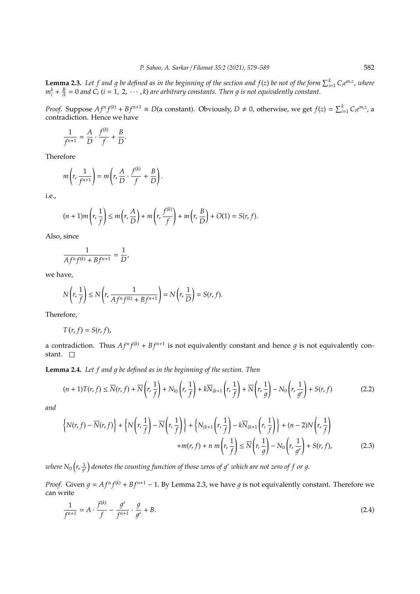**Lemma 2.3.** Let f and g be defined as in the beginning of the section and  $f(z)$  be not of the form  $\sum_{i=1}^{k} C_i e^{m_i z}$ , where  $m_i^k + \frac{B}{A} = 0$  and  $\dot{C}_i$  (*i* = 1, 2,  $\cdots$  , *k*) are arbitrary constants. Then g is not equivalently constant.

*Proof.* Suppose  $Af^n f^{(k)} + Bf^{n+1} \equiv D$ (a constant). Obviously,  $D \neq 0$ , otherwise, we get  $f(z) = \sum_{i=1}^{k} C_i e^{m_i z}$ , a contradiction. Hence we have

$$
\frac{1}{f^{n+1}} = \frac{A}{D} \cdot \frac{f^{(k)}}{f} + \frac{B}{D}.
$$

Therefore

$$
m\left(r,\frac{1}{f^{n+1}}\right)=m\left(r,\frac{A}{D}\cdot\frac{f^{(k)}}{f}+\frac{B}{D}\right).
$$

i.e.,

$$
(n+1)m\left(r,\frac{1}{f}\right)\leq m\left(r,\frac{A}{D}\right)+m\left(r,\frac{f^{(k)}}{f}\right)+m\left(r,\frac{B}{D}\right)+O(1)=S(r,f).
$$

Also, since

$$
\frac{1}{Af^nf^{(k)}+Bf^{n+1}}=\frac{1}{D},
$$

we have,

$$
N\left(r,\frac{1}{f}\right) \le N\left(r,\frac{1}{Af^n f^{(k)} + Bf^{n+1}}\right) = N\left(r,\frac{1}{D}\right) = S(r,f).
$$

Therefore,

$$
T(r, f) = S(r, f),
$$

a contradiction. Thus  $Af^n f^{(k)} + Bf^{n+1}$  is not equivalently constant and hence g is not equivalently constant.  $\square$ 

**Lemma 2.4.** Let f and g be defined as in the beginning of the section. Then

$$
(n+1)T(r,f) \le \overline{N}(r,f) + \overline{N}\left(r,\frac{1}{f}\right) + N_{k}\left(r,\frac{1}{f}\right) + k\overline{N}_{(k+1)}\left(r,\frac{1}{f}\right) + \overline{N}\left(r,\frac{1}{g}\right) - N_{0}\left(r,\frac{1}{g'}\right) + S(r,f)
$$
(2.2)

*and*

$$
\left\{ N(r, f) - \overline{N}(r, f) \right\} + \left\{ N\left(r, \frac{1}{f}\right) - \overline{N}\left(r, \frac{1}{f}\right) \right\} + \left\{ N_{(k+1}\left(r, \frac{1}{f}\right) - k\overline{N}_{(k+1}\left(r, \frac{1}{f}\right) \right) + (n-2)N\left(r, \frac{1}{f}\right) + m(r, f) + n \, m\left(r, \frac{1}{f}\right) \le \overline{N}\left(r, \frac{1}{g}\right) - N_0\left(r, \frac{1}{g'}\right) + S(r, f),\tag{2.3}
$$

where  $N_0\big(r,\frac{1}{q'}\big)$  denotes the counting function of those zeros of  $g'$  which are not zero of  $f$  or  $g$ .

*Proof.* Given  $g = Af^n f^{(k)} + Bf^{n+1} - 1$ . By Lemma 2.3, we have g is not equivalently constant. Therefore we can write

$$
\frac{1}{f^{n+1}} = A \cdot \frac{f^{(k)}}{f} - \frac{g'}{f^{n+1}} \cdot \frac{g}{g'} + B. \tag{2.4}
$$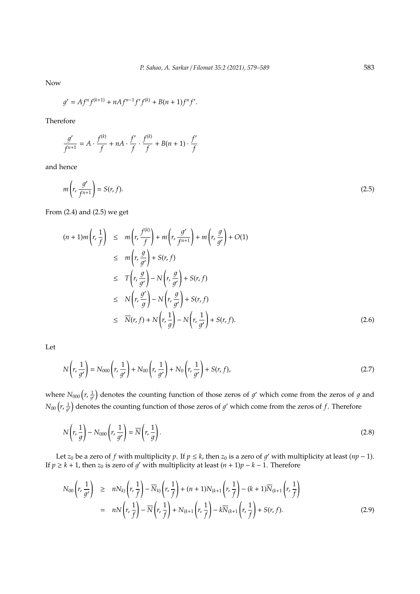Now

$$
g' = Af^n f^{(k+1)} + nAf^{n-1}f'f^{(k)} + B(n+1)f^n f'.
$$

Therefore

$$
\frac{g'}{f^{n+1}} = A \cdot \frac{f^{(k)}}{f} + nA \cdot \frac{f'}{f} \cdot \frac{f^{(k)}}{f} + B(n+1) \cdot \frac{f'}{f}
$$

and hence

$$
m\left(r,\frac{g'}{f^{n+1}}\right) = S(r,f).
$$
\n(2.5)

From (2.4) and (2.5) we get

$$
(n+1)m\left(r,\frac{1}{f}\right) \leq m\left(r,\frac{f^{(k)}}{f}\right) + m\left(r,\frac{g'}{f^{n+1}}\right) + m\left(r,\frac{g}{g'}\right) + O(1)
$$
  
\n
$$
\leq m\left(r,\frac{g}{g'}\right) + S(r,f)
$$
  
\n
$$
\leq T\left(r,\frac{g}{g'}\right) - N\left(r,\frac{g}{g'}\right) + S(r,f)
$$
  
\n
$$
\leq N\left(r,\frac{g'}{g}\right) - N\left(r,\frac{g}{g'}\right) + S(r,f)
$$
  
\n
$$
\leq \overline{N}(r,f) + N\left(r,\frac{1}{g}\right) - N\left(r,\frac{1}{g'}\right) + S(r,f).
$$
 (2.6)

Let

$$
N\left(r,\frac{1}{g'}\right) = N_{000}\left(r,\frac{1}{g'}\right) + N_{00}\left(r,\frac{1}{g'}\right) + N_0\left(r,\frac{1}{g'}\right) + S(r,f),\tag{2.7}
$$

where  $N_{000}(r, \frac{1}{q'})$  denotes the counting function of those zeros of  $q'$  which come from the zeros of  $q$  and  $N_{00}\left(r,\frac{1}{q'}\right)$  denotes the counting function of those zeros of  $g'$  which come from the zeros of  $f$ . Therefore

$$
N\left(r,\frac{1}{g}\right) - N_{000}\left(r,\frac{1}{g'}\right) = \overline{N}\left(r,\frac{1}{g}\right). \tag{2.8}
$$

Let *z*<sub>0</sub> be a zero of *f* with multiplicity *p*. If  $p \le k$ , then *z*<sub>0</sub> is a zero of *g'* with multiplicity at least (*np* − 1). If *p*  $\geq$  *k* + 1, then *z*<sub>0</sub> is zero of *g'* with multiplicity at least  $(n + 1)p - k - 1$ . Therefore

$$
N_{00}\left(r,\frac{1}{g'}\right) \geq nN_{k}\left(r,\frac{1}{f}\right) - \overline{N}_{k}\left(r,\frac{1}{f}\right) + (n+1)N_{\left(k+1\right)}\left(r,\frac{1}{f}\right) - (k+1)\overline{N}_{\left(k+1\right)}\left(r,\frac{1}{f}\right)
$$

$$
= nN\left(r,\frac{1}{f}\right) - \overline{N}\left(r,\frac{1}{f}\right) + N_{\left(k+1}\left(r,\frac{1}{f}\right) - k\overline{N}_{\left(k+1\right)}\left(r,\frac{1}{f}\right) + S(r,f). \tag{2.9}
$$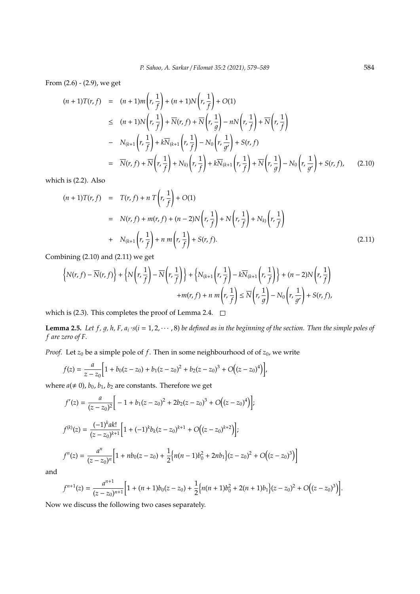From (2.6) - (2.9), we get

$$
(n+1)T(r, f) = (n+1)m\left(r, \frac{1}{f}\right) + (n+1)N\left(r, \frac{1}{f}\right) + O(1)
$$
  
\n
$$
\leq (n+1)N\left(r, \frac{1}{f}\right) + \overline{N}(r, f) + \overline{N}\left(r, \frac{1}{g}\right) - nN\left(r, \frac{1}{f}\right) + \overline{N}\left(r, \frac{1}{f}\right)
$$
  
\n
$$
- N_{(k+1)}\left(r, \frac{1}{f}\right) + k\overline{N}_{(k+1)}\left(r, \frac{1}{f}\right) - N_0\left(r, \frac{1}{g'}\right) + S(r, f)
$$
  
\n
$$
= \overline{N}(r, f) + \overline{N}\left(r, \frac{1}{f}\right) + N_{k}\left(r, \frac{1}{f}\right) + k\overline{N}_{(k+1)}\left(r, \frac{1}{f}\right) + \overline{N}\left(r, \frac{1}{g}\right) - N_0\left(r, \frac{1}{g'}\right) + S(r, f), \quad (2.10)
$$

which is (2.2). Also

$$
(n+1)T(r, f) = T(r, f) + nT(r, \frac{1}{f}) + O(1)
$$
  
=  $N(r, f) + m(r, f) + (n-2)N(r, \frac{1}{f}) + N(r, \frac{1}{f}) + N_k(r, \frac{1}{f})$   
+  $N_{(k+1)}(r, \frac{1}{f}) + n m(r, \frac{1}{f}) + S(r, f).$  (2.11)

Combining (2.10) and (2.11) we get

$$
\left\{N(r, f) - \overline{N}(r, f)\right\} + \left\{N\left(r, \frac{1}{f}\right) - \overline{N}\left(r, \frac{1}{f}\right)\right\} + \left\{N_{(k+1)}\left(r, \frac{1}{f}\right) - k\overline{N}_{(k+1)}\left(r, \frac{1}{f}\right)\right\} + (n-2)N\left(r, \frac{1}{f}\right) + m(r, f) + n \, m\left(r, \frac{1}{f}\right) \le \overline{N}\left(r, \frac{1}{g}\right) - N_0\left(r, \frac{1}{g'}\right) + S(r, f),
$$

which is (2.3). This completes the proof of Lemma 2.4.  $\Box$ 

**Lemma 2.5.** Let  $f$ ,  $g$ ,  $h$ ,  $F$ ,  $a_i$  's( $i = 1, 2, \cdots, 8$ ) be defined as in the beginning of the section. Then the simple poles of *f are zero of F.*

*Proof.* Let  $z_0$  be a simple pole of f. Then in some neighbourhood of of  $z_0$ , we write

$$
f(z) = \frac{a}{z - z_0} \Big[ 1 + b_0 (z - z_0) + b_1 (z - z_0)^2 + b_2 (z - z_0)^3 + O((z - z_0)^4) \Big],
$$

where  $a \neq 0$ ,  $b_0$ ,  $b_1$ ,  $b_2$  are constants. Therefore we get

$$
f'(z) = \frac{a}{(z - z_0)^2} \Big[ -1 + b_1(z - z_0)^2 + 2b_2(z - z_0)^3 + O((z - z_0)^4) \Big];
$$
  

$$
f^{(k)}(z) = \frac{(-1)^k ak!}{(z - z_0)^{k+1}} \Big[ 1 + (-1)^k b_k(z - z_0)^{k+1} + O((z - z_0)^{k+2}) \Big];
$$
  

$$
f''(z) = \frac{a^n}{(z - z_0)^n} \Big[ 1 + nb_0(z - z_0) + \frac{1}{2} \Big\{ n(n - 1)b_0^2 + 2nb_1 \Big\} (z - z_0)^2 + O((z - z_0)^3) \Big]
$$

and

$$
f^{n+1}(z) = \frac{a^{n+1}}{(z-z_0)^{n+1}} \Big[ 1 + (n+1)b_0(z-z_0) + \frac{1}{2} \Big\{ n(n+1)b_0^2 + 2(n+1)b_1 \Big\} (z-z_0)^2 + O\Big( (z-z_0)^3 \Big) \Big].
$$

Now we discuss the following two cases separately.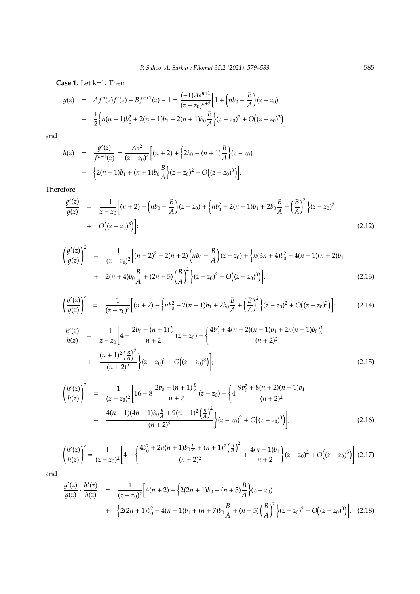**Case 1**. Let k=1. Then

$$
g(z) = Af^{n}(z)f'(z) + Bf^{n+1}(z) - 1 = \frac{(-1)Aa^{n+1}}{(z - z_0)^{n+2}} \Big[ 1 + \Big(nb_0 - \frac{B}{A}\Big)(z - z_0) + \frac{1}{2} \Big\{ n(n-1)b_0^2 + 2(n-1)b_1 - 2(n+1)b_0 \frac{B}{A} \Big\} (z - z_0)^2 + O\Big((z - z_0)^3\Big) \Big]
$$

and

$$
h(z) = \frac{g'(z)}{f^{n-1}(z)} = \frac{Aa^2}{(z-z_0)^4} \Big[ (n+2) + \Big\{ 2b_0 - (n+1)\frac{B}{A} \Big\} (z-z_0) - \Big\{ 2(n-1)b_1 + (n+1)b_0 \frac{B}{A} \Big\} (z-z_0)^2 + O\Big( (z-z_0)^3 \Big) \Big].
$$

Therefore

$$
\frac{g'(z)}{g(z)} = \frac{-1}{z - z_0} \Big[ (n+2) - \left( nb_0 - \frac{B}{A} \right) (z - z_0) + \left( nb_0^2 - 2(n-1)b_1 + 2b_0 \frac{B}{A} + \left( \frac{B}{A} \right)^2 \right) (z - z_0)^2
$$
  
+  $O((z - z_0)^3) \Big];$  (2.12)

$$
\left(\frac{g'(z)}{g(z)}\right)^2 = \frac{1}{(z-z_0)^2} \Big[ (n+2)^2 - 2(n+2) \Big( nb_0 - \frac{B}{A} \Big) (z-z_0) + \Big\{ n(3n+4)b_0^2 - 4(n-1)(n+2)b_1 + 2(n+4)b_0 \frac{B}{A} + (2n+5) \Big( \frac{B}{A} \Big)^2 \Big\} (z-z_0)^2 + O\Big( (z-z_0)^3 \Big) \Big];
$$
\n(2.13)

$$
\left(\frac{g'(z)}{g(z)}\right)' = \frac{1}{(z-z_0)^2} \Big[ (n+2) - \left\{ nb_0^2 - 2(n-1)b_1 + 2b_0 \frac{B}{A} + \left(\frac{B}{A}\right)^2 \right\} (z-z_0)^2 + O\Big((z-z_0)^3\Big) \Big];\tag{2.14}
$$

$$
\frac{h'(z)}{h(z)} = \frac{-1}{z - z_0} \left[ 4 - \frac{2b_0 - (n+1)\frac{B}{A}}{n+2} (z - z_0) + \left\{ \frac{4b_0^2 + 4(n+2)(n-1)b_1 + 2n(n+1)b_0\frac{B}{A}}{(n+2)^2} + \frac{(n+1)^2\left(\frac{B}{A}\right)^2}{(n+2)^2} \right\} (z - z_0)^2 + O\left((z - z_0)^3\right) \right];
$$
\n(2.15)

$$
\left(\frac{h'(z)}{h(z)}\right)^2 = \frac{1}{(z-z_0)^2} \left[16 - 8\frac{2b_0 - (n+1)\frac{B}{A}}{n+2}(z-z_0) + \left\{4\frac{9b_0^2 + 8(n+2)(n-1)b_1}{(n+2)^2} + \frac{4(n+1)(4n-1)b_0\frac{B}{A} + 9(n+1)^2\left(\frac{B}{A}\right)^2}{(n+2)^2}\right\} (z-z_0)^2 + O\left((z-z_0)^3\right)\right];
$$
\n(2.16)

$$
\left(\frac{h'(z)}{h(z)}\right)' = \frac{1}{(z-z_0)^2} \left[4 - \left\{\frac{4b_0^2 + 2n(n+1)b_0\frac{B}{A} + (n+1)^2\left(\frac{B}{A}\right)^2}{(n+2)^2} + \frac{4(n-1)b_1}{n+2}\right\} (z-z_0)^2 + O\left((z-z_0)^3\right)\right] (2.17)
$$

and

$$
\frac{g'(z)}{g(z)} \cdot \frac{h'(z)}{h(z)} = \frac{1}{(z-z_0)^2} \Big[ 4(n+2) - \Big\{ 2(2n+1)b_0 - (n+5)\frac{B}{A} \Big\} (z-z_0) + \Big\{ 2(2n+1)b_0^2 - 4(n-1)b_1 + (n+7)b_0 \frac{B}{A} + (n+5)\Big(\frac{B}{A}\Big)^2 \Big\} (z-z_0)^2 + O\Big((z-z_0)^3\Big) \Big].
$$
 (2.18)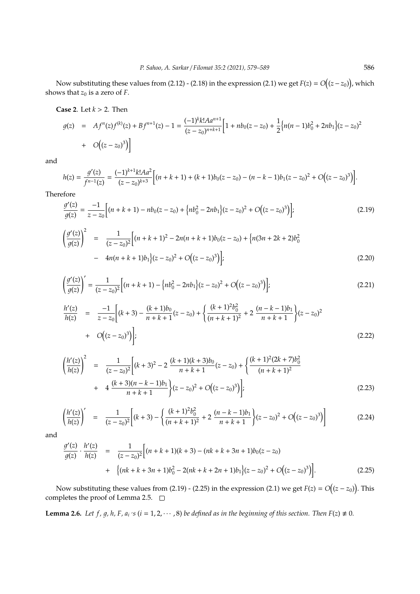Now substituting these values from (2.12) - (2.18) in the expression (2.1) we get  $F(z) = O\big((z-z_0)\big)$ , which shows that  $z_0$  is a zero of *F*.

**Case 2**. Let *k* > 2. Then

$$
g(z) = Af^{n}(z)f^{(k)}(z) + Bf^{n+1}(z) - 1 = \frac{(-1)^{k}k!Aa^{n+1}}{(z - z_0)^{n+k+1}} \Big[ 1 + nb_0(z - z_0) + \frac{1}{2} \Big\{ n(n-1)b_0^2 + 2nb_1 \Big\} (z - z_0)^2 + O\Big( (z - z_0)^3 \Big) \Big]
$$

and

$$
h(z) = \frac{g'(z)}{f^{n-1}(z)} = \frac{(-1)^{k+1}k!Aa^2}{(z-z_0)^{k+3}} \Big[ (n+k+1) + (k+1)b_0(z-z_0) - (n-k-1)b_1(z-z_0)^2 + O((z-z_0)^3) \Big].
$$

Therefore

$$
\frac{g'(z)}{g(z)} = \frac{-1}{z - z_0} \Big[ (n + k + 1) - nb_0(z - z_0) + \Big\{ nb_0^2 - 2nb_1 \Big\} (z - z_0)^2 + O\Big( (z - z_0)^3 \Big) \Big];\tag{2.19}
$$

$$
\left(\frac{g'(z)}{g(z)}\right)^2 = \frac{1}{(z-z_0)^2} \Big[ (n+k+1)^2 - 2n(n+k+1)b_0(z-z_0) + \{n(3n+2k+2)b_0^2 - 4n(n+k+1)b_1\} (z-z_0)^2 + O\big((z-z_0)^3\big) \Big];
$$
\n(2.20)

$$
\left(\frac{g'(z)}{g(z)}\right)' = \frac{1}{(z-z_0)^2} \Big[ (n+k+1) - \left\{ nb_0^2 - 2nb_1 \right\} (z-z_0)^2 + O\big((z-z_0)^3\big) \Big];\tag{2.21}
$$

$$
\frac{h'(z)}{h(z)} = \frac{-1}{z - z_0} \left[ (k+3) - \frac{(k+1)b_0}{n+k+1} (z - z_0) + \left\{ \frac{(k+1)^2 b_0^2}{(n+k+1)^2} + 2 \frac{(n-k-1)b_1}{n+k+1} \right\} (z - z_0)^2 + O\Big((z - z_0)^3\Big) \right];
$$
\n(2.22)

$$
\left(\frac{h'(z)}{h(z)}\right)^2 = \frac{1}{(z-z_0)^2} \left[ (k+3)^2 - 2\frac{(k+1)(k+3)b_0}{n+k+1} (z-z_0) + \left\{ \frac{(k+1)^2(2k+7)b_0^2}{(n+k+1)^2} + 4\frac{(k+3)(n-k-1)b_1}{n+k+1} \right\} (z-z_0)^2 + O\left((z-z_0)^3\right) \right];
$$
\n(2.23)

$$
\left(\frac{h'(z)}{h(z)}\right)' = \frac{1}{(z-z_0)^2} \left[ (k+3) - \left\{ \frac{(k+1)^2 b_0^2}{(n+k+1)^2} + 2 \frac{(n-k-1)b_1}{n+k+1} \right\} (z-z_0)^2 + O\left((z-z_0)^3\right) \right] \tag{2.24}
$$

and

$$
\frac{g'(z)}{g(z)} \cdot \frac{h'(z)}{h(z)} = \frac{1}{(z-z_0)^2} \Big[ (n+k+1)(k+3) - (nk+k+3n+1)b_0(z-z_0) + \Big\{ (nk+k+3n+1)b_0^2 - 2(nk+k+2n+1)b_1 \Big\} (z-z_0)^2 + O\Big( (z-z_0)^3 \Big) \Big].
$$
\n(2.25)

Now substituting these values from (2.19) - (2.25) in the expression (2.1) we get  $F(z) = O((z - z_0))$ . This completes the proof of Lemma 2.5. □

**Lemma 2.6.** Let f, g, h, F, a<sub>i</sub> 's ( $i = 1, 2, \cdots, 8$ ) be defined as in the beginning of this section. Then  $F(z) \neq 0$ .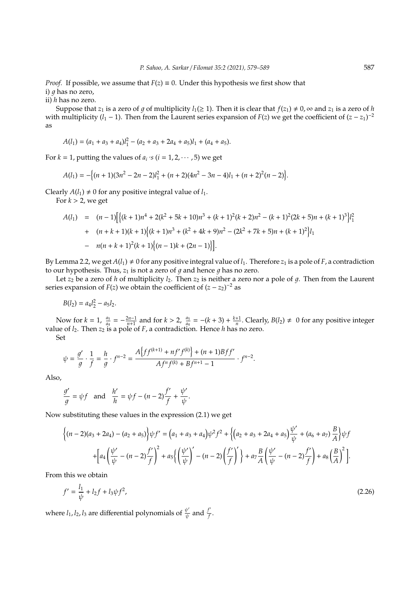*Proof.* If possible, we assume that  $F(z) \equiv 0$ . Under this hypothesis we first show that i)  $q$  has no zero.

ii) *h* has no zero.

Suppose that *z*<sub>1</sub> is a zero of *q* of multiplicity *l*<sub>1</sub>( $\geq$  1). Then it is clear that  $f(z_1) \neq 0$ ,  $\infty$  and *z*<sub>1</sub> is a zero of *h* with multiplicity ( $l_1$  − 1). Then from the Laurent series expansion of *F*(*z*) we get the coefficient of  $(z - z_1)^{-2}$ as

$$
A(l_1) = (a_1 + a_3 + a_4)l_1^2 - (a_2 + a_3 + 2a_4 + a_5)l_1 + (a_4 + a_5).
$$

For  $k = 1$ , putting the values of  $a_i$  's ( $i = 1, 2, \dots, 5$ ) we get

$$
A(l_1) = -\{(n+1)(3n^2 - 2n - 2)l_1^2 + (n+2)(4n^2 - 3n - 4)l_1 + (n+2)^2(n-2)\}.
$$

Clearly  $A(l_1) \neq 0$  for any positive integral value of  $l_1$ .

For  $k > 2$ , we get

$$
A(l_1) = (n-1) \Big[ \{ (k+1)n^4 + 2(k^2 + 5k + 10)n^3 + (k+1)^2(k+2)n^2 - (k+1)^2(2k+5)n + (k+1)^3 \} l_1^2 + (n+k+1)(k+1) \Big\{ (k+1)n^3 + (k^2 + 4k + 9)n^2 - (2k^2 + 7k + 5)n + (k+1)^2 \Big\} l_1 - n(n+k+1)^2(k+1) \Big\{ (n-1)k + (2n-1) \Big\} \Big].
$$

By Lemma 2.2, we get  $A(l_1) \neq 0$  for any positive integral value of  $l_1$ . Therefore  $z_1$  is a pole of *F*, a contradiction to our hypothesis. Thus,  $z_1$  is not a zero of  $q$  and hence  $q$  has no zero.

Let  $z_2$  be a zero of *h* of multiplicity  $l_2$ . Then  $z_2$  is neither a zero nor a pole of g. Then from the Laurent series expansion of *F*(*z*) we obtain the coefficient of  $(z - z_2)^{-2}$  as

$$
B(l_2) = a_4 l_2^2 - a_5 l_2.
$$

Now for  $k = 1$ ,  $\frac{a_5}{a_4}$  $\frac{a_5}{a_4} = -\frac{2n-1}{n+1}$  and for  $k > 2$ ,  $\frac{a_5}{a_4}$  $\frac{a_5}{a_4}$  = −(*k* + 3) +  $\frac{k+1}{n}$ . Clearly, *B*(*l*<sub>2</sub>) ≠ 0 for any positive integer value of *l*2. Then *z*<sup>2</sup> is a pole of *F*, a contradiction. Hence *h* has no zero.

Set

$$
\psi = \frac{g'}{g} \cdot \frac{1}{f} = \frac{h}{g} \cdot f^{n-2} = \frac{A\left\{ff^{(k+1)} + nf'f^{(k)}\right\} + (n+1)Bff'}{Af^n f^{(k)} + Bf^{n+1} - 1} \cdot f^{n-2}.
$$

Also,

$$
\frac{g'}{g} = \psi f \quad \text{and} \quad \frac{h'}{h} = \psi f - (n-2)\frac{f'}{f} + \frac{\psi'}{\psi}.
$$

Now substituting these values in the expression (2.1) we get

$$
\left\{ (n-2)(a_3 + 2a_4) - (a_2 + a_5) \right\} \psi f' = \left( a_1 + a_3 + a_4 \right) \psi^2 f^2 + \left\{ \left( a_2 + a_3 + 2a_4 + a_5 \right) \frac{\psi'}{\psi} + \left( a_6 + a_7 \right) \frac{B}{A} \right\} \psi f
$$

$$
+ \left[ a_4 \left( \frac{\psi'}{\psi} - (n-2) \frac{f'}{f} \right)^2 + a_5 \left\{ \left( \frac{\psi'}{\psi} \right)' - (n-2) \left( \frac{f'}{f} \right)' \right\} + a_7 \frac{B}{A} \left( \frac{\psi'}{\psi} - (n-2) \frac{f'}{f} \right) + a_8 \left( \frac{B}{A} \right)^2 \right].
$$

From this we obtain

$$
f' = \frac{l_1}{\psi} + l_2 f + l_3 \psi f^2,\tag{2.26}
$$

where  $l_1$ ,  $l_2$ ,  $l_3$  are differential polynomials of  $\frac{\psi'}{\psi}$  $\frac{\psi'}{\psi}$  and  $\frac{f'}{f}$ *f* .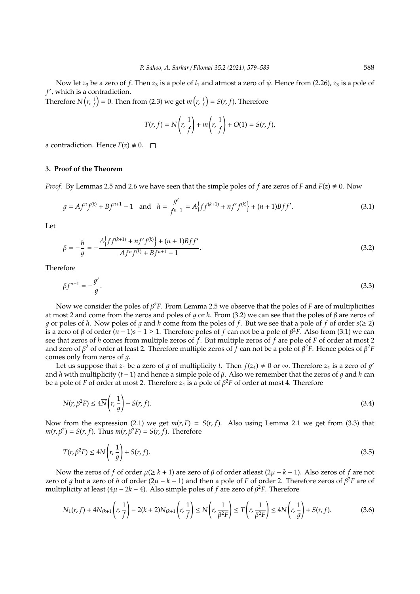Now let  $z_3$  be a zero of f. Then  $z_3$  is a pole of  $l_1$  and atmost a zero of  $\psi$ . Hence from (2.26),  $z_3$  is a pole of f', which is a contradiction.

Therefore  $N(r, \frac{1}{f}) = 0$ . Then from (2.3) we get  $m(r, \frac{1}{f}) = S(r, f)$ . Therefore

$$
T(r, f) = N\left(r, \frac{1}{f}\right) + m\left(r, \frac{1}{f}\right) + O(1) = S(r, f),
$$

a contradiction. Hence  $F(z) \neq 0$ .  $\Box$ 

## **3. Proof of the Theorem**

*Proof.* By Lemmas 2.5 and 2.6 we have seen that the simple poles of *f* are zeros of *F* and  $F(z) \neq 0$ . Now

$$
g = Af^n f^{(k)} + Bf^{n+1} - 1 \quad \text{and} \quad h = \frac{g'}{f^{n-1}} = A\{ff^{(k+1)} + nf'f^{(k)}\} + (n+1)Bff'.
$$
 (3.1)

Let

$$
\beta = -\frac{h}{g} = -\frac{A\{ff^{(k+1)} + nf'f^{(k)}\} + (n+1)Bff'}{Af^n f^{(k)} + Bf^{n+1} - 1}.
$$
\n(3.2)

Therefore

$$
\beta f^{n-1} = -\frac{g'}{g}.\tag{3.3}
$$

Now we consider the poles of β <sup>2</sup>*F*. From Lemma 2.5 we observe that the poles of *F* are of multiplicities at most 2 and come from the zeros and poles of *g* or *h*. From (3.2) we can see that the poles of *β* are zeros of q or poles of h. Now poles of q and h come from the poles of f. But we see that a pole of f of order  $s(≥ 2)$ is a zero of  $\beta$  of order  $(n-1)s-1 \ge 1$ . Therefore poles of  $f$  can not be a pole of  $\beta^2 F$ . Also from (3.1) we can see that zeros of *h* comes from multiple zeros of *f*. But multiple zeros of *f* are pole of *F* of order at most 2 and zero of  $\beta^2$  of order at least 2. Therefore multiple zeros of  $f$  can not be a pole of  $\beta^2F$ . Hence poles of  $\beta^2F$ comes only from zeros of  $q$ .

Let us suppose that  $z_4$  be a zero of g of multiplicity t. Then  $f(z_4) \neq 0$  or  $\infty$ . Therefore  $z_4$  is a zero of g' and *h* with multiplicity  $(t - 1)$  and hence a simple pole of  $\beta$ . Also we remember that the zeros of q and h can be a pole of *F* of order at most 2. Therefore *z*<sup>4</sup> is a pole of β <sup>2</sup>*F* of order at most 4. Therefore

$$
N(r,\beta^2 F) \le 4\overline{N}\left(r,\frac{1}{g}\right) + S(r,f). \tag{3.4}
$$

Now from the expression (2.1) we get  $m(r, F) = S(r, f)$ . Also using Lemma 2.1 we get from (3.3) that  $m(r, \beta^2) = S(r, f)$ . Thus  $m(r, \beta^2 F) = S(r, f)$ . Therefore

$$
T(r,\beta^2 F) \le 4\overline{N}\left(r,\frac{1}{g}\right) + S(r,f). \tag{3.5}
$$

Now the zeros of *f* of order  $\mu(\geq k+1)$  are zero of  $\beta$  of order at least  $(2\mu - k - 1)$ . Also zeros of *f* are not zero of g but a zero of h of order  $(2\mu - k - 1)$  and then a pole of F of order 2. Therefore zeros of  $\beta^2 F$  are of multiplicity at least ( $4\mu - 2k - 4$ ). Also simple poles of *f* are zero of  $\beta^2 F$ . Therefore

$$
N_1(r, f) + 4N_{(k+1)}\left(r, \frac{1}{f}\right) - 2(k+2)\overline{N}_{(k+1)}\left(r, \frac{1}{f}\right) \le N\left(r, \frac{1}{\beta^2 F}\right) \le T\left(r, \frac{1}{\beta^2 F}\right) \le 4\overline{N}\left(r, \frac{1}{g}\right) + S(r, f). \tag{3.6}
$$